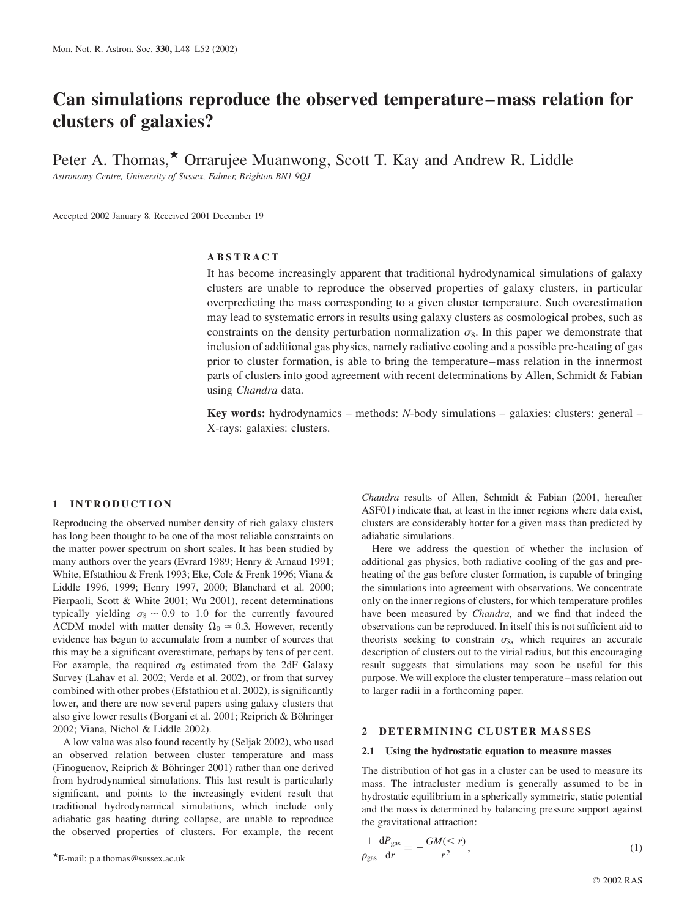# Can simulations reproduce the observed temperature–mass relation for clusters of galaxies?

Peter A. Thomas, $\star$  Orrarujee Muanwong, Scott T. Kay and Andrew R. Liddle

Astronomy Centre, University of Sussex, Falmer, Brighton BN1 9QJ

Accepted 2002 January 8. Received 2001 December 19

# ABSTRACT

It has become increasingly apparent that traditional hydrodynamical simulations of galaxy clusters are unable to reproduce the observed properties of galaxy clusters, in particular overpredicting the mass corresponding to a given cluster temperature. Such overestimation may lead to systematic errors in results using galaxy clusters as cosmological probes, such as constraints on the density perturbation normalization  $\sigma_8$ . In this paper we demonstrate that inclusion of additional gas physics, namely radiative cooling and a possible pre-heating of gas prior to cluster formation, is able to bring the temperature–mass relation in the innermost parts of clusters into good agreement with recent determinations by Allen, Schmidt & Fabian using Chandra data.

**Key words:** hydrodynamics – methods:  $N$ -body simulations – galaxies: clusters: general – X-rays: galaxies: clusters.

## 1 INTRODUCTION

Reproducing the observed number density of rich galaxy clusters has long been thought to be one of the most reliable constraints on the matter power spectrum on short scales. It has been studied by many authors over the years (Evrard 1989; Henry & Arnaud 1991; White, Efstathiou & Frenk 1993; Eke, Cole & Frenk 1996; Viana & Liddle 1996, 1999; Henry 1997, 2000; Blanchard et al. 2000; Pierpaoli, Scott & White 2001; Wu 2001), recent determinations typically yielding  $\sigma_8 \sim 0.9$  to 1.0 for the currently favoured  $\Lambda$ CDM model with matter density  $\Omega_0 \simeq 0.3$ . However, recently evidence has begun to accumulate from a number of sources that this may be a significant overestimate, perhaps by tens of per cent. For example, the required  $\sigma_8$  estimated from the 2dF Galaxy Survey (Lahav et al. 2002; Verde et al. 2002), or from that survey combined with other probes (Efstathiou et al. 2002), is significantly lower, and there are now several papers using galaxy clusters that also give lower results (Borgani et al. 2001; Reiprich & Böhringer 2002; Viana, Nichol & Liddle 2002).

A low value was also found recently by (Seljak 2002), who used an observed relation between cluster temperature and mass (Finoguenov, Reiprich & Böhringer 2001) rather than one derived from hydrodynamical simulations. This last result is particularly significant, and points to the increasingly evident result that traditional hydrodynamical simulations, which include only adiabatic gas heating during collapse, are unable to reproduce the observed properties of clusters. For example, the recent

 $E$ -mail: p.a.thomas@sussex.ac.uk

Chandra results of Allen, Schmidt & Fabian (2001, hereafter ASF01) indicate that, at least in the inner regions where data exist, clusters are considerably hotter for a given mass than predicted by adiabatic simulations.

Here we address the question of whether the inclusion of additional gas physics, both radiative cooling of the gas and preheating of the gas before cluster formation, is capable of bringing the simulations into agreement with observations. We concentrate only on the inner regions of clusters, for which temperature profiles have been measured by *Chandra*, and we find that indeed the observations can be reproduced. In itself this is not sufficient aid to theorists seeking to constrain  $\sigma_8$ , which requires an accurate description of clusters out to the virial radius, but this encouraging result suggests that simulations may soon be useful for this purpose. We will explore the cluster temperature–mass relation out to larger radii in a forthcoming paper.

# 2 DETERMINING CLUSTER MASSES

#### 2.1 Using the hydrostatic equation to measure masses

The distribution of hot gas in a cluster can be used to measure its mass. The intracluster medium is generally assumed to be in hydrostatic equilibrium in a spherically symmetric, static potential and the mass is determined by balancing pressure support against the gravitational attraction:

$$
\frac{1}{\rho_{\rm gas}} \frac{\mathrm{d}P_{\rm gas}}{\mathrm{d}r} = -\frac{GM(
$$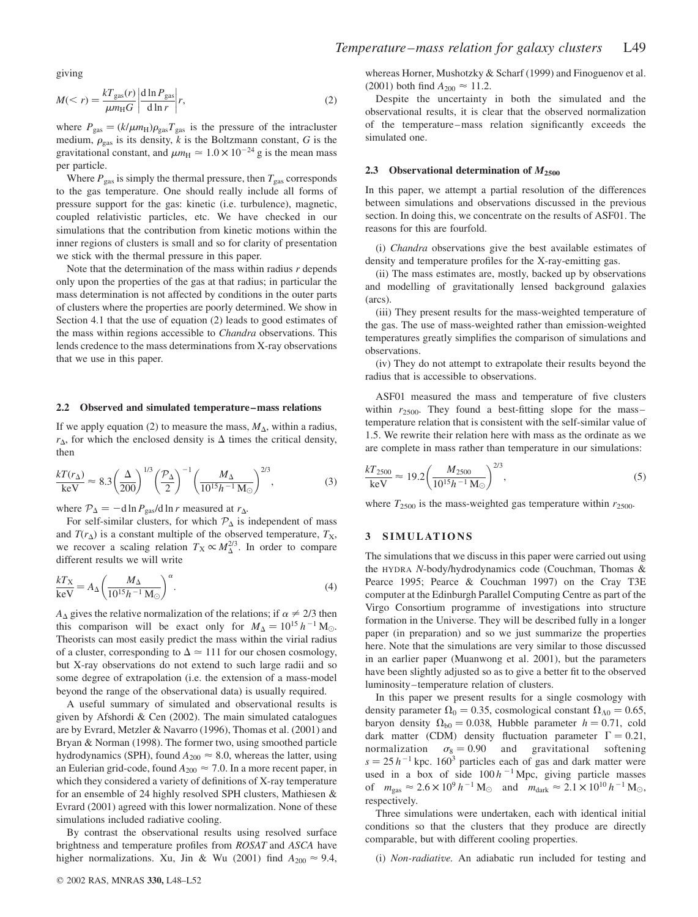giving

$$
M(
$$

where  $P_{\text{gas}} = (k/\mu m_H) \rho_{\text{gas}} T_{\text{gas}}$  is the pressure of the intracluster medium,  $\rho_{\text{gas}}$  is its density, k is the Boltzmann constant, G is the gravitational constant, and  $\mu m_{\text{H}} \approx 1.0 \times 10^{-24}$  g is the mean mass per particle.

Where  $P_{\text{gas}}$  is simply the thermal pressure, then  $T_{\text{gas}}$  corresponds to the gas temperature. One should really include all forms of pressure support for the gas: kinetic (i.e. turbulence), magnetic, coupled relativistic particles, etc. We have checked in our simulations that the contribution from kinetic motions within the inner regions of clusters is small and so for clarity of presentation we stick with the thermal pressure in this paper.

Note that the determination of the mass within radius  $r$  depends only upon the properties of the gas at that radius; in particular the mass determination is not affected by conditions in the outer parts of clusters where the properties are poorly determined. We show in Section 4.1 that the use of equation (2) leads to good estimates of the mass within regions accessible to Chandra observations. This lends credence to the mass determinations from X-ray observations that we use in this paper.

#### 2.2 Observed and simulated temperature–mass relations

If we apply equation (2) to measure the mass,  $M_{\Delta}$ , within a radius,  $r_{\Delta}$ , for which the enclosed density is  $\Delta$  times the critical density, then

$$
\frac{kT(r_{\Delta})}{keV} \approx 8.3 \left(\frac{\Delta}{200}\right)^{1/3} \left(\frac{\mathcal{P}_{\Delta}}{2}\right)^{-1} \left(\frac{M_{\Delta}}{10^{15}h^{-1}M_{\odot}}\right)^{2/3},\tag{3}
$$

where  $P_{\Delta} = -d \ln P_{\text{gas}}/d \ln r$  measured at  $r_{\Delta}$ .

For self-similar clusters, for which  $P_{\Delta}$  is independent of mass and  $T(r_{\Delta})$  is a constant multiple of the observed temperature,  $T_{\rm X}$ , we recover a scaling relation  $T_X \propto M_\Delta^{2/3}$ . In order to compare different results we will write

$$
\frac{kT_X}{keV} = A_\Delta \left(\frac{M_\Delta}{10^{15}h^{-1} \text{ M}_\odot}\right)^\alpha.
$$
 (4)

 $A_{\Delta}$  gives the relative normalization of the relations; if  $\alpha \neq 2/3$  then this comparison will be exact only for  $M_{\Delta} = 10^{15} h^{-1} M_{\odot}$ . Theorists can most easily predict the mass within the virial radius of a cluster, corresponding to  $\Delta \simeq 111$  for our chosen cosmology, but X-ray observations do not extend to such large radii and so some degree of extrapolation (i.e. the extension of a mass-model beyond the range of the observational data) is usually required.

A useful summary of simulated and observational results is given by Afshordi & Cen (2002). The main simulated catalogues are by Evrard, Metzler & Navarro (1996), Thomas et al. (2001) and Bryan & Norman (1998). The former two, using smoothed particle hydrodynamics (SPH), found  $A_{200} \approx 8.0$ , whereas the latter, using an Eulerian grid-code, found  $A_{200} \approx 7.0$ . In a more recent paper, in which they considered a variety of definitions of X-ray temperature for an ensemble of 24 highly resolved SPH clusters, Mathiesen & Evrard (2001) agreed with this lower normalization. None of these simulations included radiative cooling.

By contrast the observational results using resolved surface brightness and temperature profiles from ROSAT and ASCA have higher normalizations. Xu, Jin & Wu (2001) find  $A_{200} \approx 9.4$ , whereas Horner, Mushotzky & Scharf (1999) and Finoguenov et al. (2001) both find  $A_{200} \approx 11.2$ .

Despite the uncertainty in both the simulated and the observational results, it is clear that the observed normalization of the temperature–mass relation significantly exceeds the simulated one.

## 2.3 Observational determination of  $M_{2500}$

In this paper, we attempt a partial resolution of the differences between simulations and observations discussed in the previous section. In doing this, we concentrate on the results of ASF01. The reasons for this are fourfold.

(i) Chandra observations give the best available estimates of density and temperature profiles for the X-ray-emitting gas.

(ii) The mass estimates are, mostly, backed up by observations and modelling of gravitationally lensed background galaxies (arcs).

(iii) They present results for the mass-weighted temperature of the gas. The use of mass-weighted rather than emission-weighted temperatures greatly simplifies the comparison of simulations and observations.

(iv) They do not attempt to extrapolate their results beyond the radius that is accessible to observations.

ASF01 measured the mass and temperature of five clusters within  $r_{2500}$ . They found a best-fitting slope for the mass– temperature relation that is consistent with the self-similar value of 1.5. We rewrite their relation here with mass as the ordinate as we are complete in mass rather than temperature in our simulations:

$$
\frac{kT_{2500}}{\text{keV}} \approx 19.2 \left(\frac{M_{2500}}{10^{15}h^{-1}\,\text{M}_{\odot}}\right)^{2/3},\tag{5}
$$

where  $T_{2500}$  is the mass-weighted gas temperature within  $r_{2500}$ .

#### 3 SIMULATIONS

The simulations that we discuss in this paper were carried out using the HYDRA N-body/hydrodynamics code (Couchman, Thomas & Pearce 1995; Pearce & Couchman 1997) on the Cray T3E computer at the Edinburgh Parallel Computing Centre as part of the Virgo Consortium programme of investigations into structure formation in the Universe. They will be described fully in a longer paper (in preparation) and so we just summarize the properties here. Note that the simulations are very similar to those discussed in an earlier paper (Muanwong et al. 2001), but the parameters have been slightly adjusted so as to give a better fit to the observed luminosity–temperature relation of clusters.

In this paper we present results for a single cosmology with density parameter  $\Omega_0 = 0.35$ , cosmological constant  $\Omega_{\Lambda 0} = 0.65$ , baryon density  $\Omega_{b0} = 0.038$ , Hubble parameter  $h = 0.71$ , cold dark matter (CDM) density fluctuation parameter  $\Gamma = 0.21$ , normalization  $\sigma_8 = 0.90$  and gravitational softening  $s = 25 h^{-1}$  kpc. 160<sup>3</sup> particles each of gas and dark matter were used in a box of side  $100 h^{-1}$  Mpc, giving particle masses of  $m_{\text{gas}} \approx 2.6 \times 10^9 h^{-1} M_{\odot}$  and  $m_{\text{dark}} \approx 2.1 \times 10^{10} h^{-1} M_{\odot}$ , respectively.

Three simulations were undertaken, each with identical initial conditions so that the clusters that they produce are directly comparable, but with different cooling properties.

(i) Non-radiative. An adiabatic run included for testing and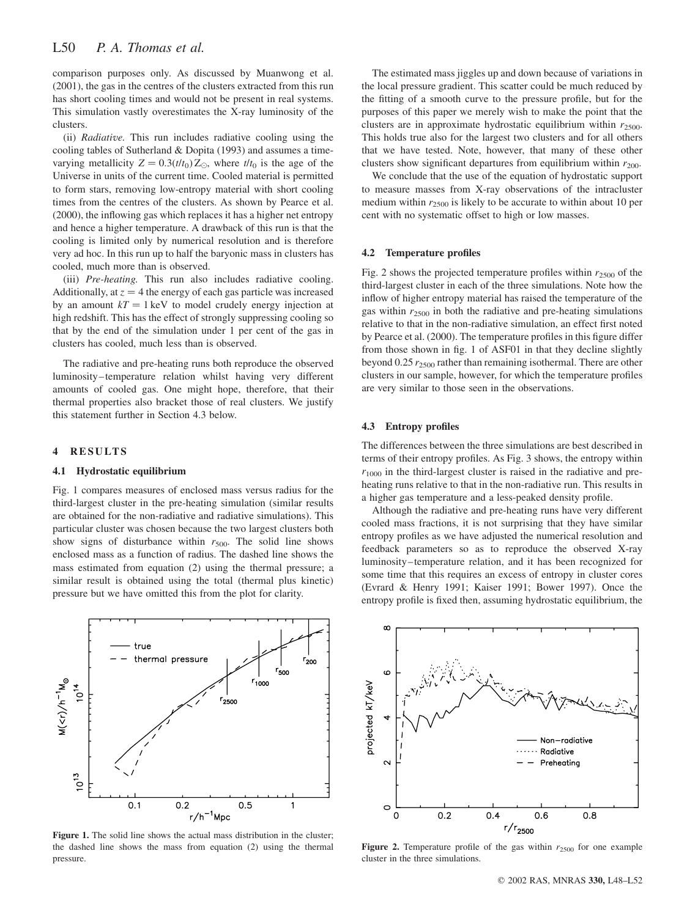comparison purposes only. As discussed by Muanwong et al. (2001), the gas in the centres of the clusters extracted from this run has short cooling times and would not be present in real systems. This simulation vastly overestimates the X-ray luminosity of the clusters.

(ii) Radiative. This run includes radiative cooling using the cooling tables of Sutherland & Dopita (1993) and assumes a timevarying metallicity  $Z = 0.3(t/t_0)Z_{\odot}$ , where  $t/t_0$  is the age of the Universe in units of the current time. Cooled material is permitted to form stars, removing low-entropy material with short cooling times from the centres of the clusters. As shown by Pearce et al. (2000), the inflowing gas which replaces it has a higher net entropy and hence a higher temperature. A drawback of this run is that the cooling is limited only by numerical resolution and is therefore very ad hoc. In this run up to half the baryonic mass in clusters has cooled, much more than is observed.

(iii) Pre-heating. This run also includes radiative cooling. Additionally, at  $z = 4$  the energy of each gas particle was increased by an amount  $kT = 1 \text{ keV}$  to model crudely energy injection at high redshift. This has the effect of strongly suppressing cooling so that by the end of the simulation under 1 per cent of the gas in clusters has cooled, much less than is observed.

The radiative and pre-heating runs both reproduce the observed luminosity–temperature relation whilst having very different amounts of cooled gas. One might hope, therefore, that their thermal properties also bracket those of real clusters. We justify this statement further in Section 4.3 below.

# 4 RESULTS

### 4.1 Hydrostatic equilibrium

Fig. 1 compares measures of enclosed mass versus radius for the third-largest cluster in the pre-heating simulation (similar results are obtained for the non-radiative and radiative simulations). This particular cluster was chosen because the two largest clusters both show signs of disturbance within  $r_{500}$ . The solid line shows enclosed mass as a function of radius. The dashed line shows the mass estimated from equation (2) using the thermal pressure; a similar result is obtained using the total (thermal plus kinetic) pressure but we have omitted this from the plot for clarity.



Figure 1. The solid line shows the actual mass distribution in the cluster; the dashed line shows the mass from equation (2) using the thermal pressure.

The estimated mass jiggles up and down because of variations in the local pressure gradient. This scatter could be much reduced by the fitting of a smooth curve to the pressure profile, but for the purposes of this paper we merely wish to make the point that the clusters are in approximate hydrostatic equilibrium within  $r_{2500}$ . This holds true also for the largest two clusters and for all others that we have tested. Note, however, that many of these other clusters show significant departures from equilibrium within  $r_{200}$ .

We conclude that the use of the equation of hydrostatic support to measure masses from X-ray observations of the intracluster medium within  $r_{2500}$  is likely to be accurate to within about 10 per cent with no systematic offset to high or low masses.

#### 4.2 Temperature profiles

Fig. 2 shows the projected temperature profiles within  $r_{2500}$  of the third-largest cluster in each of the three simulations. Note how the inflow of higher entropy material has raised the temperature of the gas within  $r_{2500}$  in both the radiative and pre-heating simulations relative to that in the non-radiative simulation, an effect first noted by Pearce et al. (2000). The temperature profiles in this figure differ from those shown in fig. 1 of ASF01 in that they decline slightly beyond 0.25  $r_{2500}$  rather than remaining isothermal. There are other clusters in our sample, however, for which the temperature profiles are very similar to those seen in the observations.

#### 4.3 Entropy profiles

The differences between the three simulations are best described in terms of their entropy profiles. As Fig. 3 shows, the entropy within  $r_{1000}$  in the third-largest cluster is raised in the radiative and preheating runs relative to that in the non-radiative run. This results in a higher gas temperature and a less-peaked density profile.

Although the radiative and pre-heating runs have very different cooled mass fractions, it is not surprising that they have similar entropy profiles as we have adjusted the numerical resolution and feedback parameters so as to reproduce the observed X-ray luminosity–temperature relation, and it has been recognized for some time that this requires an excess of entropy in cluster cores (Evrard & Henry 1991; Kaiser 1991; Bower 1997). Once the entropy profile is fixed then, assuming hydrostatic equilibrium, the



Figure 2. Temperature profile of the gas within  $r_{2500}$  for one example cluster in the three simulations.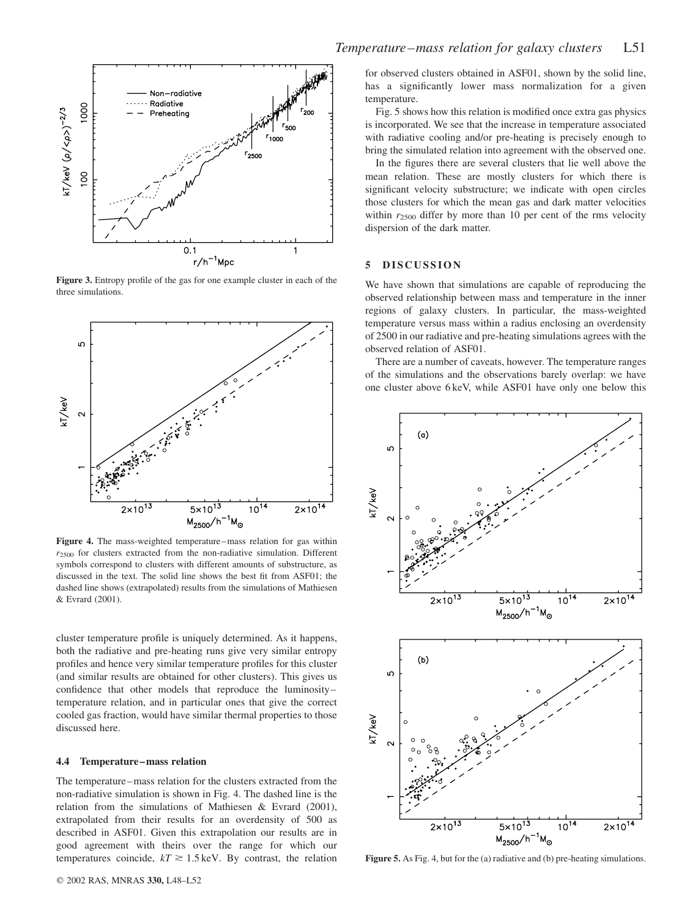

Figure 3. Entropy profile of the gas for one example cluster in each of the three simulations.



Figure 4. The mass-weighted temperature–mass relation for gas within  $r_{2500}$  for clusters extracted from the non-radiative simulation. Different symbols correspond to clusters with different amounts of substructure, as discussed in the text. The solid line shows the best fit from ASF01; the dashed line shows (extrapolated) results from the simulations of Mathiesen & Evrard (2001).

cluster temperature profile is uniquely determined. As it happens, both the radiative and pre-heating runs give very similar entropy profiles and hence very similar temperature profiles for this cluster (and similar results are obtained for other clusters). This gives us confidence that other models that reproduce the luminosity– temperature relation, and in particular ones that give the correct cooled gas fraction, would have similar thermal properties to those discussed here.

## 4.4 Temperature–mass relation

The temperature–mass relation for the clusters extracted from the non-radiative simulation is shown in Fig. 4. The dashed line is the relation from the simulations of Mathiesen & Evrard (2001), extrapolated from their results for an overdensity of 500 as described in ASF01. Given this extrapolation our results are in good agreement with theirs over the range for which our temperatures coincide,  $kT \ge 1.5$  keV. By contrast, the relation for observed clusters obtained in ASF01, shown by the solid line, has a significantly lower mass normalization for a given temperature.

Fig. 5 shows how this relation is modified once extra gas physics is incorporated. We see that the increase in temperature associated with radiative cooling and/or pre-heating is precisely enough to bring the simulated relation into agreement with the observed one.

In the figures there are several clusters that lie well above the mean relation. These are mostly clusters for which there is significant velocity substructure; we indicate with open circles those clusters for which the mean gas and dark matter velocities within  $r_{2500}$  differ by more than 10 per cent of the rms velocity dispersion of the dark matter.

## 5 DISCUSSION

We have shown that simulations are capable of reproducing the observed relationship between mass and temperature in the inner regions of galaxy clusters. In particular, the mass-weighted temperature versus mass within a radius enclosing an overdensity of 2500 in our radiative and pre-heating simulations agrees with the observed relation of ASF01.

There are a number of caveats, however. The temperature ranges of the simulations and the observations barely overlap: we have one cluster above 6 keV, while ASF01 have only one below this



Figure 5. As Fig. 4, but for the (a) radiative and (b) pre-heating simulations.